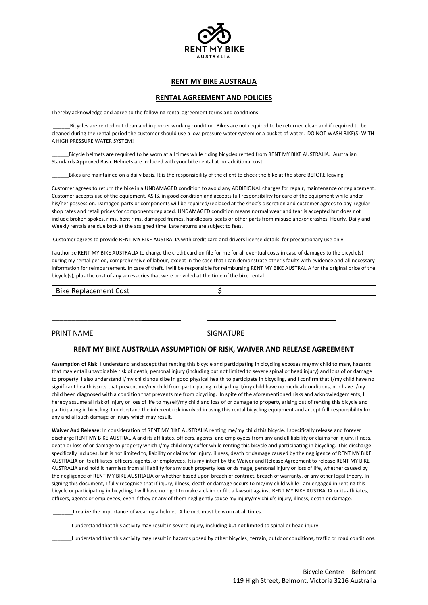

# **RENT MY BIKE AUSTRALIA**

### **RENTAL AGREEMENT AND POLICIES**

I hereby acknowledge and agree to the following rental agreement terms and conditions:

\_\_\_\_\_\_Bicycles are rented out clean and in proper working condition. Bikes are not required to be returned clean and if required to be cleaned during the rental period the customer should use a low-pressure water system or a bucket of water. DO NOT WASH BIKE(S) WITH A HIGH PRESSURE WATER SYSTEM!

\_\_\_\_\_\_Bicycle helmets are required to be worn at all times while riding bicycles rented from RENT MY BIKE AUSTRALIA. Australian Standards Approved Basic Helmets are included with your bike rental at no additional cost.

\_\_\_\_\_\_Bikes are maintained on a daily basis. It is the responsibility of the client to check the bike at the store BEFORE leaving.

Customer agrees to return the bike in a UNDAMAGED condition to avoid any ADDITIONAL charges for repair, maintenance or replacement. Customer accepts use of the equipment, AS IS, in good condition and accepts full responsibility for care of the equipment while under his/her possession. Damaged parts or components will be repaired/replaced at the shop's discretion and customer agrees to pay regular shop rates and retail prices for components replaced. UNDAMAGED condition means normal wear and tear is accepted but does not include broken spokes, rims, bent rims, damaged frames, handlebars, seats or other parts from misuse and/or crashes. Hourly, Daily and Weekly rentals are due back at the assigned time. Late returns are subject to fees.

Customer agrees to provide RENT MY BIKE AUSTRALIA with credit card and drivers license details, for precautionary use only:

I authorise RENT MY BIKE AUSTRALIA to charge the credit card on file for me for all eventual costs in case of damages to the bicycle(s) during my rental period, comprehensive of labour, except in the case that I can demonstrate other's faults with evidence and all necessary information for reimbursement. In case of theft, I will be responsible for reimbursing RENT MY BIKE AUSTRALIA for the original price of the bicycle(s), plus the cost of any accessories that were provided at the time of the bike rental.

Bike Replacement Cost 5

\_\_\_\_\_\_\_\_\_\_\_\_\_\_\_\_\_\_\_\_\_\_\_

### PRINT NAME SIGNATURE

#### **RENT MY BIKE AUSTRALIA ASSUMPTION OF RISK, WAIVER AND RELEASE AGREEMENT**

**Assumption of Risk**: I understand and accept that renting this bicycle and participating in bicycling exposes me/my child to many hazards that may entail unavoidable risk of death, personal injury (including but not limited to severe spinal or head injury) and loss of or damage to property. I also understand I/my child should be in good physical health to participate in bicycling, and I confirm that I/my child have no significant health issues that prevent me/my child from participating in bicycling. I/my child have no medical conditions, nor have I/my child been diagnosed with a condition that prevents me from bicycling. In spite of the aforementioned risks and acknowledgements, I hereby assume all risk of injury or loss of life to myself/my child and loss of or damage to property arising out of renting this bicycle and participating in bicycling. I understand the inherent risk involved in using this rental bicycling equipment and accept full responsibility for any and all such damage or injury which may result.

**Waiver And Release**: In consideration of RENT MY BIKE AUSTRALIA renting me/my child this bicycle, I specifically release and forever discharge RENT MY BIKE AUSTRALIA and its affiliates, officers, agents, and employees from any and all liability or claims for injury, illness, death or loss of or damage to property which I/my child may suffer while renting this bicycle and participating in bicycling. This discharge specifically includes, but is not limited to, liability or claims for injury, illness, death or damage caused by the negligence of RENT MY BIKE AUSTRALIA or its affiliates, officers, agents, or employees. It is my intent by the Waiver and Release Agreement to release RENT MY BIKE AUSTRALIA and hold it harmless from all liability for any such property loss or damage, personal injury or loss of life, whether caused by the negligence of RENT MY BIKE AUSTRALIA or whether based upon breach of contract, breach of warranty, or any other legal theory. In signing this document, I fully recognise that if injury, illness, death or damage occurs to me/my child while I am engaged in renting this bicycle or participating in bicycling, I will have no right to make a claim or file a lawsuit against RENT MY BIKE AUSTRALIA or its affiliates, officers, agents or employees, even if they or any of them negligently cause my injury/my child's injury, illness, death or damage.

\_\_\_\_\_\_\_I realize the importance of wearing a helmet. A helmet must be worn at all times.

\_\_\_\_\_\_\_I understand that this activity may result in severe injury, including but not limited to spinal or head injury.

\_\_\_\_\_\_\_I understand that this activity may result in hazards posed by other bicycles, terrain, outdoor conditions, traffic or road conditions.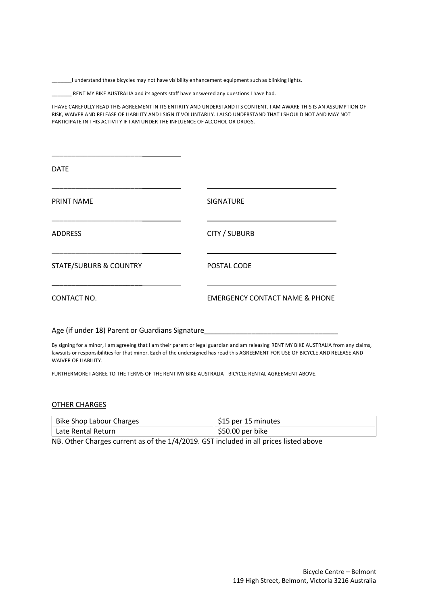\_\_\_\_\_\_\_I understand these bicycles may not have visibility enhancement equipment such as blinking lights.

\_\_\_\_\_\_\_ RENT MY BIKE AUSTRALIA and its agents staff have answered any questions I have had.

I HAVE CAREFULLY READ THIS AGREEMENT IN ITS ENTIRITY AND UNDERSTAND ITS CONTENT. I AM AWARE THIS IS AN ASSUMPTION OF RISK, WAIVER AND RELEASE OF LIABILITY AND I SIGN IT VOLUNTARILY. I ALSO UNDERSTAND THAT I SHOULD NOT AND MAY NOT PARTICIPATE IN THIS ACTIVITY IF I AM UNDER THE INFLUENCE OF ALCOHOL OR DRUGS.

| <b>DATE</b>                       |                                           |
|-----------------------------------|-------------------------------------------|
| <b>PRINT NAME</b>                 | <b>SIGNATURE</b>                          |
| <b>ADDRESS</b>                    | <b>CITY / SUBURB</b>                      |
| <b>STATE/SUBURB &amp; COUNTRY</b> | POSTAL CODE                               |
| CONTACT NO.                       | <b>EMERGENCY CONTACT NAME &amp; PHONE</b> |

Age (if under 18) Parent or Guardians Signature

\_\_\_\_\_\_\_\_\_\_\_\_\_\_\_\_\_\_\_\_\_\_\_

By signing for a minor, I am agreeing that I am their parent or legal guardian and am releasing RENT MY BIKE AUSTRALIA from any claims, lawsuits or responsibilities for that minor. Each of the undersigned has read this AGREEMENT FOR USE OF BICYCLE AND RELEASE AND WAIVER OF LIABILITY.

FURTHERMORE I AGREE TO THE TERMS OF THE RENT MY BIKE AUSTRALIA - BICYCLE RENTAL AGREEMENT ABOVE.

## OTHER CHARGES

| Bike Shop Labour Charges | \$15 per 15 minutes |
|--------------------------|---------------------|
| Late Rental Return       | \$50.00 per bike    |
|                          |                     |

NB. Other Charges current as of the 1/4/2019. GST included in all prices listed above